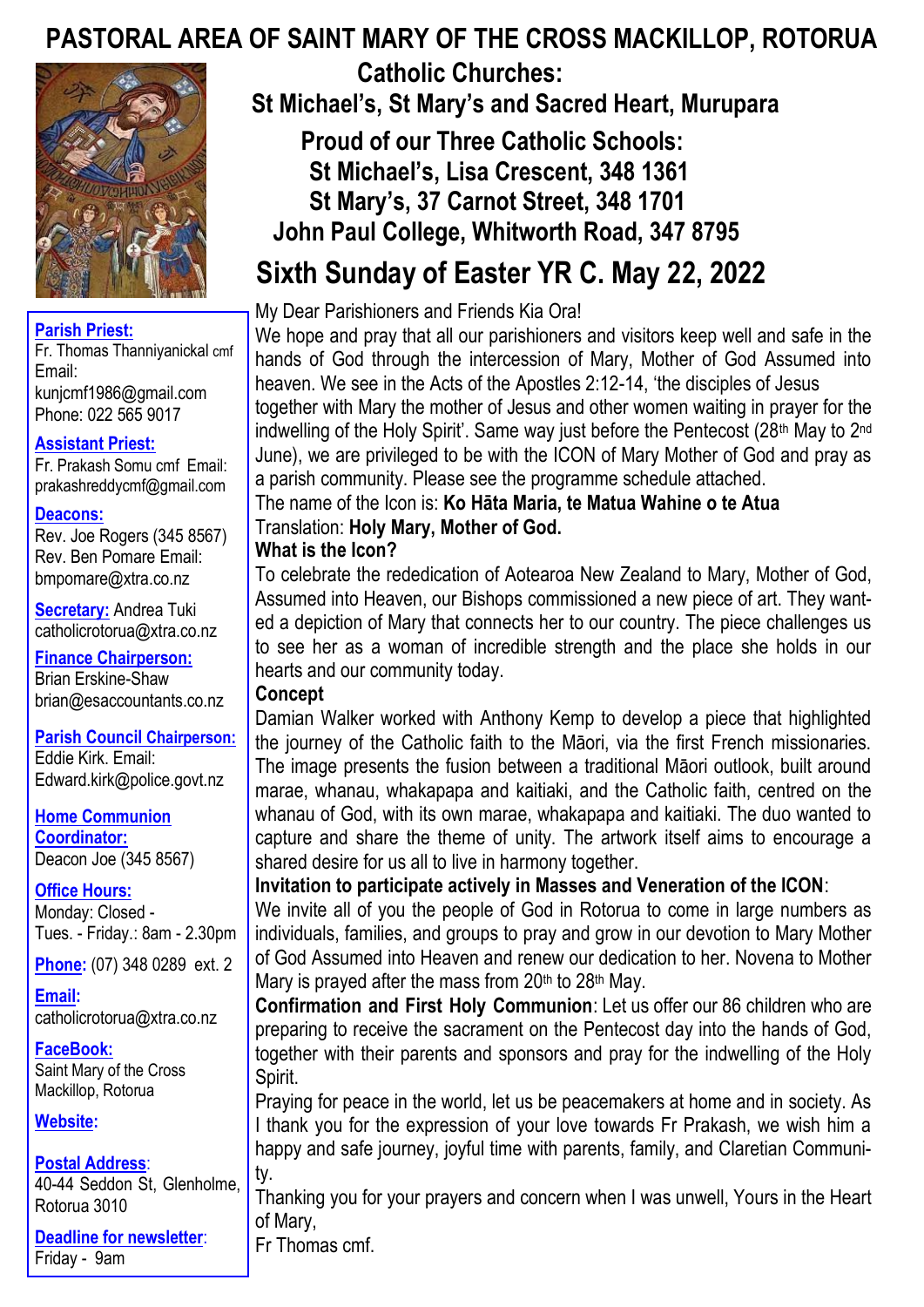# **PASTORAL AREA OF SAINT MARY OF THE CROSS MACKILLOP, ROTORUA**



#### **Parish Priest:**

Fr. Thomas Thanniyanickal cmf Email: kunjcmf1986@gmail.com Phone: 022 565 9017

## **Assistant Priest:**

Fr. Prakash Somu cmf Email: prakashreddycmf@gmail.com

#### **Deacons:**

Rev. Joe Rogers (345 8567) Rev. Ben Pomare Email: bmpomare@xtra.co.nz

**Secretary:** Andrea Tuki catholicrotorua@xtra.co.nz

**Finance Chairperson:** Brian Erskine-Shaw brian@esaccountants.co.nz

**Parish Council Chairperson:** Eddie Kirk. Email: Edward.kirk@police.govt.nz

**Home Communion Coordinator:**

Deacon Joe (345 8567) **Office Hours:**  Monday: Closed - Tues. - Friday.: 8am - 2.30pm

**Phone:** (07) 348 0289 ext. 2

**Email:**  catholicrotorua@xtra.co.nz

**FaceBook:** Saint Mary of the Cross Mackillop, Rotorua

#### **Website:**

#### **Postal Address**:

40-44 Seddon St, Glenholme, Rotorua 3010

**Deadline for newsletter**: Friday - 9am

 **Catholic Churches: St Michael's, St Mary's and Sacred Heart, Murupara Proud of our Three Catholic Schools: St Michael's, Lisa Crescent, 348 1361 St Mary's, 37 Carnot Street, 348 1701 John Paul College, Whitworth Road, 347 8795**

# **Sixth Sunday of Easter YR C. May 22, 2022**

My Dear Parishioners and Friends Kia Ora!

We hope and pray that all our parishioners and visitors keep well and safe in the hands of God through the intercession of Mary, Mother of God Assumed into heaven. We see in the Acts of the Apostles 2:12-14, 'the disciples of Jesus together with Mary the mother of Jesus and other women waiting in prayer for the indwelling of the Holy Spirit'. Same way just before the Pentecost (28<sup>th</sup> May to 2<sup>nd</sup> June), we are privileged to be with the ICON of Mary Mother of God and pray as a parish community. Please see the programme schedule attached.

The name of the Icon is: **Ko Hāta Maria, te Matua Wahine o te Atua** Translation: **Holy Mary, Mother of God.**

## **What is the Icon?**

To celebrate the rededication of Aotearoa New Zealand to Mary, Mother of God, Assumed into Heaven, our Bishops commissioned a new piece of art. They wanted a depiction of Mary that connects her to our country. The piece challenges us to see her as a woman of incredible strength and the place she holds in our hearts and our community today.

## **Concept**

Damian Walker worked with Anthony Kemp to develop a piece that highlighted the journey of the Catholic faith to the Māori, via the first French missionaries. The image presents the fusion between a traditional Māori outlook, built around marae, whanau, whakapapa and kaitiaki, and the Catholic faith, centred on the whanau of God, with its own marae, whakapapa and kaitiaki. The duo wanted to capture and share the theme of unity. The artwork itself aims to encourage a shared desire for us all to live in harmony together.

## **Invitation to participate actively in Masses and Veneration of the ICON**:

We invite all of you the people of God in Rotorua to come in large numbers as individuals, families, and groups to pray and grow in our devotion to Mary Mother of God Assumed into Heaven and renew our dedication to her. Novena to Mother Mary is prayed after the mass from  $20<sup>th</sup>$  to  $28<sup>th</sup>$  May.

**Confirmation and First Holy Communion**: Let us offer our 86 children who are preparing to receive the sacrament on the Pentecost day into the hands of God, together with their parents and sponsors and pray for the indwelling of the Holy Spirit.

Praying for peace in the world, let us be peacemakers at home and in society. As I thank you for the expression of your love towards Fr Prakash, we wish him a happy and safe journey, joyful time with parents, family, and Claretian Community.

Thanking you for your prayers and concern when I was unwell, Yours in the Heart of Mary,

Fr Thomas cmf.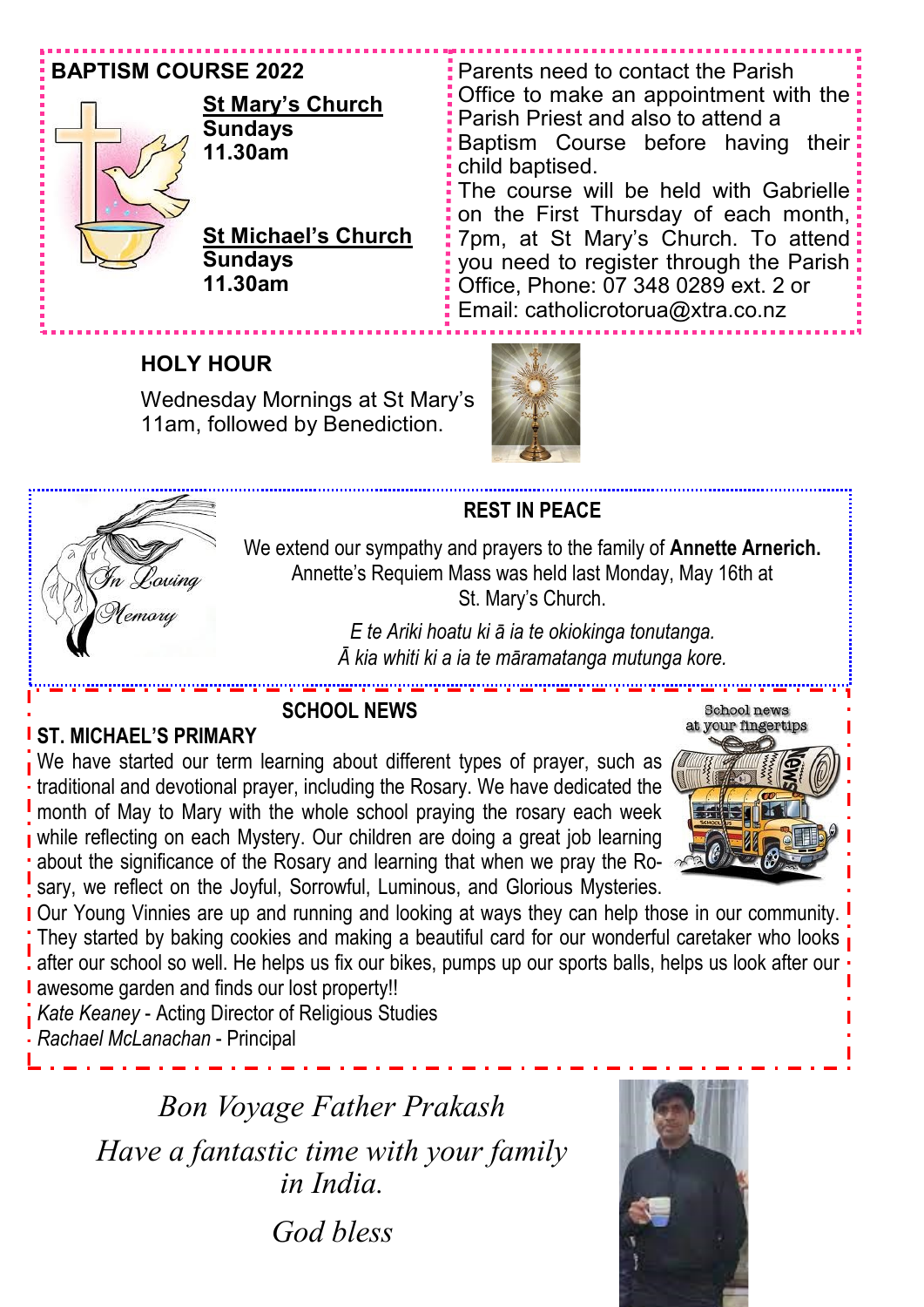## **BAPTISM COURSE 2022**



## **St Mary's Church Sundays 11.30am**

**St Michael's Church Sundays 11.30am**

Parents need to contact the Parish Office to make an appointment with the Parish Priest and also to attend a Baptism Course before having their child baptised. The course will be held with Gabrielle on the First Thursday of each month, 7pm, at St Mary's Church. To attend you need to register through the Parish: Office, Phone: 07 348 0289 ext. 2 or Email: catholicrotorua@xtra.co.nz

# **HOLY HOUR**

Wednesday Mornings at St Mary's 11am, followed by Benediction.



## **REST IN PEACE**

We extend our sympathy and prayers to the family of **Annette Arnerich.**  Annette's Requiem Mass was held last Monday, May 16th at St. Mary's Church.

> *E te Ariki hoatu ki ā ia te okiokinga tonutanga. Ā kia whiti ki a ia te māramatanga mutunga kore.*

# **ST. MICHAEL'S PRIMARY**

emory

الواحيين الواحيين **SCHOOL NEWS**

We have started our term learning about different types of prayer, such as traditional and devotional prayer, including the Rosary. We have dedicated the month of May to Mary with the whole school praying the rosary each week while reflecting on each Mystery. Our children are doing a great job learning about the significance of the Rosary and learning that when we pray the Rosary, we reflect on the Joyful, Sorrowful, Luminous, and Glorious Mysteries.



**Our Young Vinnies are up and running and looking at ways they can help those in our community.** They started by baking cookies and making a beautiful card for our wonderful caretaker who looks after our school so well. He helps us fix our bikes, pumps up our sports balls, helps us look after our awesome garden and finds our lost property!!

*Kate Keaney* - Acting Director of Religious Studies *Rachael McLanachan* - Principal

> *Bon Voyage Father Prakash Have a fantastic time with your family in India. God bless*

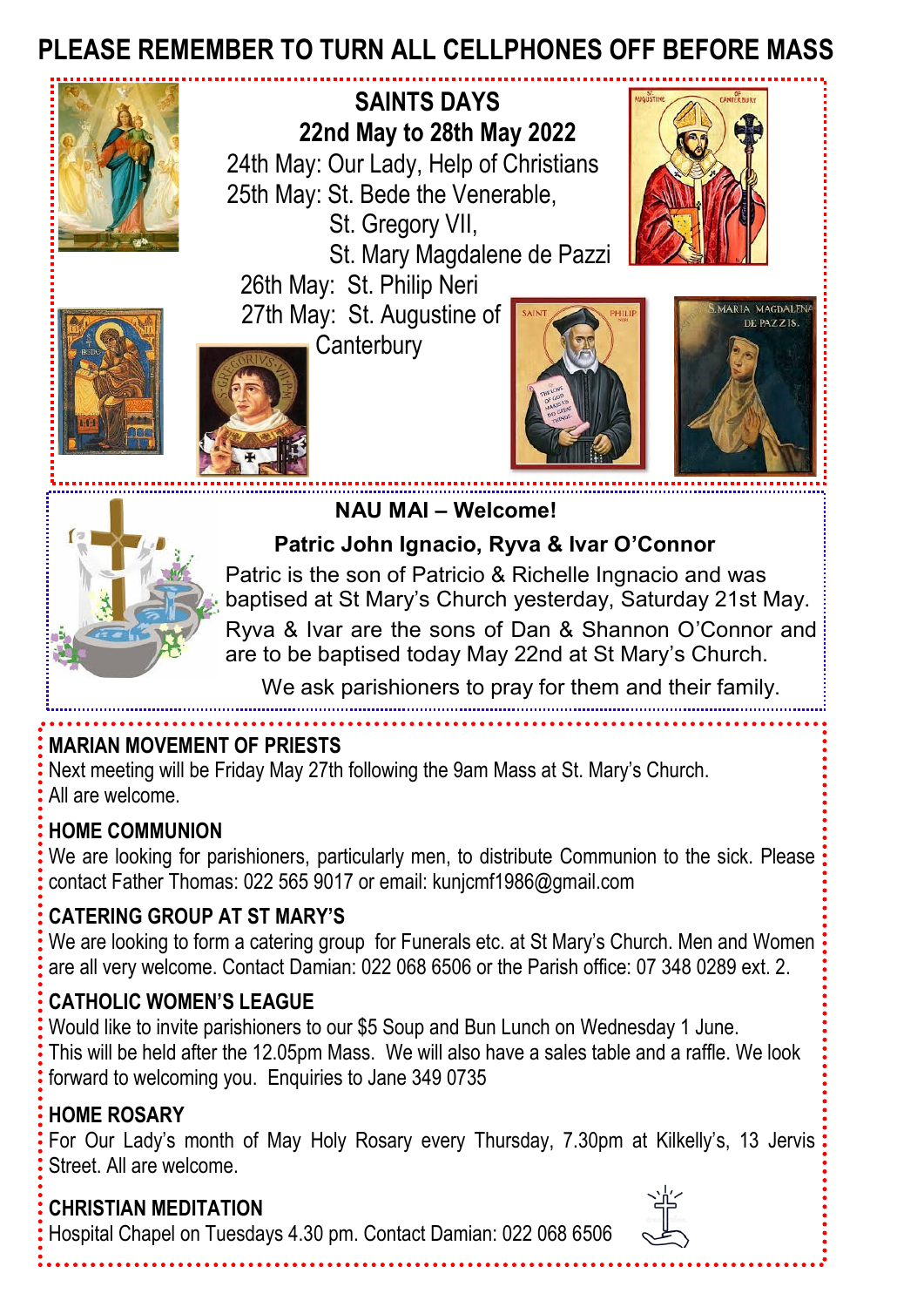# **PLEASE REMEMBER TO TURN ALL CELLPHONES OFF BEFORE MASS**



 **SAINTS DAYS 22nd May to 28th May 2022** 24th May: Our Lady, Help of Christians 25th May: St. Bede the Venerable, St. Gregory VII,

St. Mary Magdalene de Pazzi

 26th May: St. Philip Neri 27th May: St. Augustine of











 **Patric John Ignacio, Ryva & Ivar O'Connor** 

 **NAU MAI – Welcome!**

 Patric is the son of Patricio & Richelle Ingnacio and was baptised at St Mary's Church yesterday, Saturday 21st May. Ryva & Ivar are the sons of Dan & Shannon O'Connor and are to be baptised today May 22nd at St Mary's Church.

We ask parishioners to pray for them and their family.

# **MARIAN MOVEMENT OF PRIESTS**

Next meeting will be Friday May 27th following the 9am Mass at St. Mary's Church. All are welcome.

# **HOME COMMUNION**

We are looking for parishioners, particularly men, to distribute Communion to the sick. Please contact Father Thomas: 022 565 9017 or email: kunjcmf1986@gmail.com

# **CATERING GROUP AT ST MARY'S**

We are looking to form a catering group for Funerals etc. at St Mary's Church. Men and Women are all very welcome. Contact Damian: 022 068 6506 or the Parish office: 07 348 0289 ext. 2.

# **CATHOLIC WOMEN'S LEAGUE**

Would like to invite parishioners to our \$5 Soup and Bun Lunch on Wednesday 1 June. This will be held after the 12.05pm Mass. We will also have a sales table and a raffle. We look forward to welcoming you. Enquiries to Jane 349 0735

# **HOME ROSARY**

For Our Lady's month of May Holy Rosary every Thursday, 7.30pm at Kilkelly's, 13 Jervis Street. All are welcome.

# **CHRISTIAN MEDITATION**

Hospital Chapel on Tuesdays 4.30 pm. Contact Damian: 022 068 6506